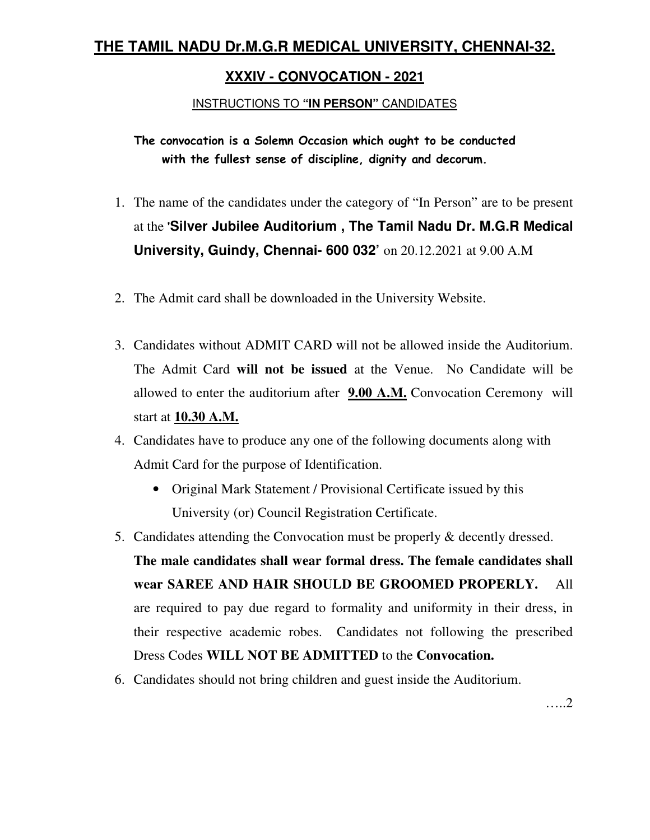# **THE TAMIL NADU Dr.M.G.R MEDICAL UNIVERSITY, CHENNAI-32.**

# **XXXIV - CONVOCATION - 2021**

## INSTRUCTIONS TO **"IN PERSON"** CANDIDATES

**The convocation is a Solemn Occasion which ought to be conducted with the fullest sense of discipline, dignity and decorum.** 

- 1. The name of the candidates under the category of "In Person" are to be present at the **'Silver Jubilee Auditorium , The Tamil Nadu Dr. M.G.R Medical University, Guindy, Chennai- 600 032'** on 20.12.2021 at 9.00 A.M
- 2. The Admit card shall be downloaded in the University Website.
- 3. Candidates without ADMIT CARD will not be allowed inside the Auditorium. The Admit Card **will not be issued** at the Venue. No Candidate will be allowed to enter the auditorium after **9.00 A.M.** Convocation Ceremony will start at **10.30 A.M.**
- 4. Candidates have to produce any one of the following documents along with Admit Card for the purpose of Identification.
	- Original Mark Statement / Provisional Certificate issued by this University (or) Council Registration Certificate.
- 5. Candidates attending the Convocation must be properly & decently dressed. **The male candidates shall wear formal dress. The female candidates shall wear SAREE AND HAIR SHOULD BE GROOMED PROPERLY.** All are required to pay due regard to formality and uniformity in their dress, in their respective academic robes. Candidates not following the prescribed Dress Codes **WILL NOT BE ADMITTED** to the **Convocation.**
- 6. Candidates should not bring children and guest inside the Auditorium.

…..2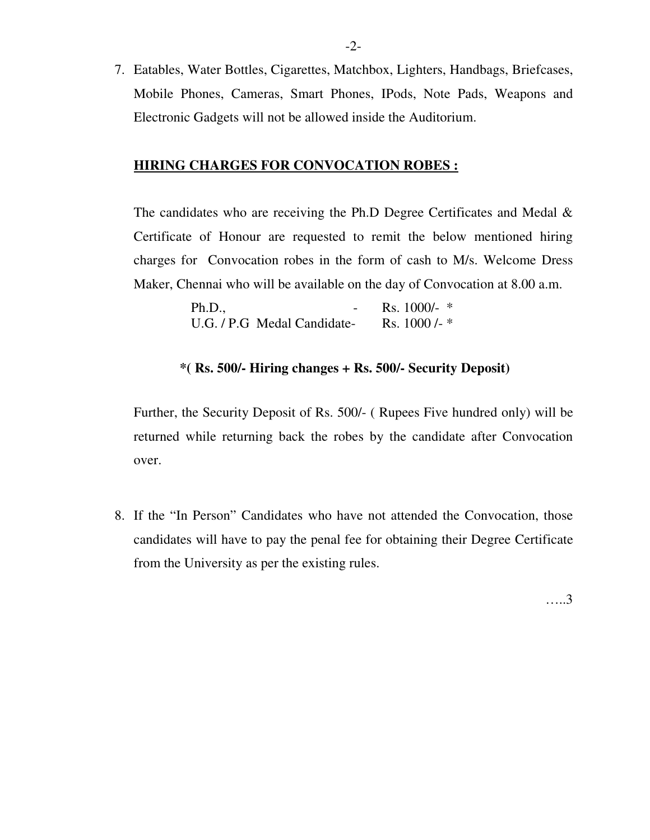7. Eatables, Water Bottles, Cigarettes, Matchbox, Lighters, Handbags, Briefcases, Mobile Phones, Cameras, Smart Phones, IPods, Note Pads, Weapons and Electronic Gadgets will not be allowed inside the Auditorium.

### **HIRING CHARGES FOR CONVOCATION ROBES :**

The candidates who are receiving the Ph.D Degree Certificates and Medal & Certificate of Honour are requested to remit the below mentioned hiring charges for Convocation robes in the form of cash to M/s. Welcome Dress Maker, Chennai who will be available on the day of Convocation at 8.00 a.m.

| Ph.D.,                      | Rs. 1000/- $*$ |
|-----------------------------|----------------|
| U.G. / P.G Medal Candidate- | Rs. $1000 -$   |

#### **\*( Rs. 500/- Hiring changes + Rs. 500/- Security Deposit)**

Further, the Security Deposit of Rs. 500/- ( Rupees Five hundred only) will be returned while returning back the robes by the candidate after Convocation over.

8. If the "In Person" Candidates who have not attended the Convocation, those candidates will have to pay the penal fee for obtaining their Degree Certificate from the University as per the existing rules.